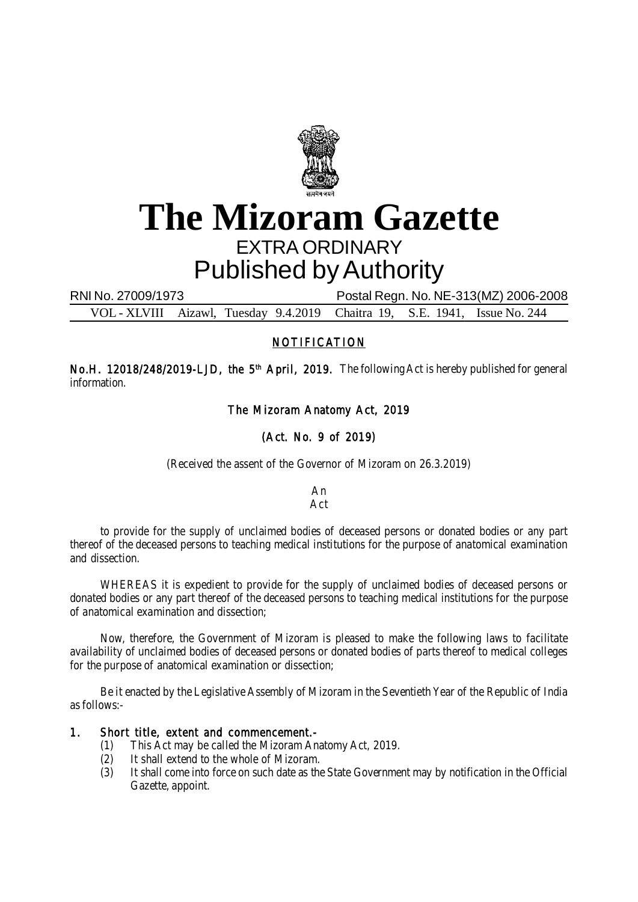

# **The Mizoram Gazette** EXTRA ORDINARY Published by Authority

RNI No. 27009/1973 Postal Regn. No. NE-313(MZ) 2006-2008

VOL - XLVIII Aizawl, Tuesday 9.4.2019 Chaitra 19, S.E. 1941, Issue No. 244

## NOTIFICATION

No.H. 12018/248/2019-LJD, the 5<sup>th</sup> April, 2019. The following Act is hereby published for general information.

The Mizoram Anatomy Act, 2019

# (Act. No. 9 of 2019)

(Received the assent of the Governor of Mizoram on 26.3.2019)

An Act

to provide for the supply of unclaimed bodies of deceased persons or donated bodies or any part thereof of the deceased persons to teaching medical institutions for the purpose of anatomical examination and dissection.

WHEREAS it is expedient to provide for the supply of unclaimed bodies of deceased persons or donated bodies or any part thereof of the deceased persons to teaching medical institutions for the purpose of anatomical examination and dissection;

Now, therefore, the Government of Mizoram is pleased to make the following laws to facilitate availability of unclaimed bodies of deceased persons or donated bodies of parts thereof to medical colleges for the purpose of anatomical examination or dissection;

Be it enacted by the Legislative Assembly of Mizoram in the Seventieth Year of the Republic of India as follows:-

### 1. Short title, extent and commencement.-

- (1) This Act may be called the Mizoram Anatomy Act, 2019.
- (2) It shall extend to the whole of Mizoram.
- (3) It shall come into force on such date as the State Government may by notification in the Official Gazette, appoint.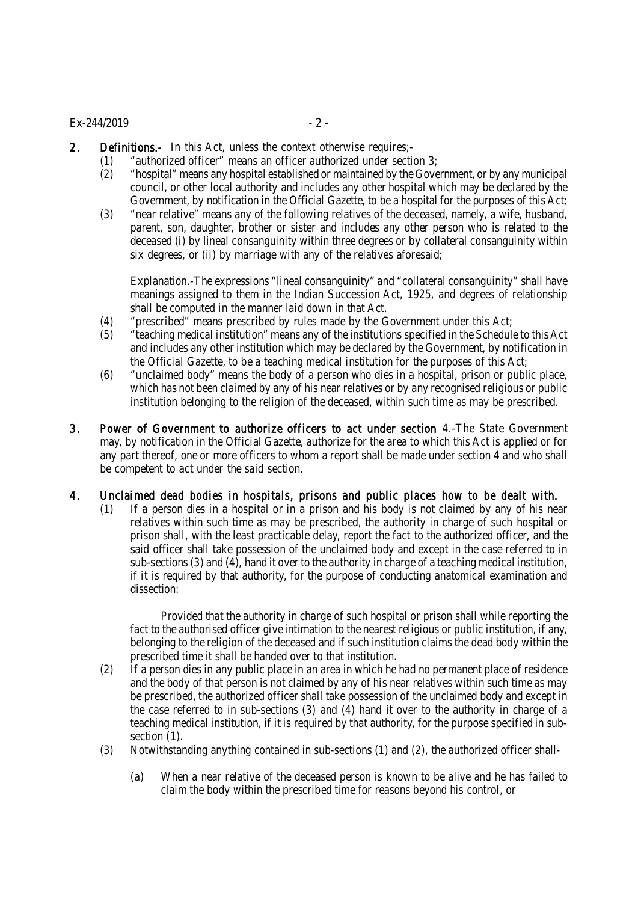#### $Ex-244/2019$  - 2 -

- 2. Definitions.- In this Act, unless the context otherwise requires:-
	- (1) "authorized officer" means an officer authorized under section 3;
		- (2) "hospital" means any hospital established or maintained by the Government, or by any municipal council, or other local authority and includes any other hospital which may be declared by the Government, by notification in the Official Gazette, to be a hospital for the purposes of this Act;
		- (3) "near relative" means any of the following relatives of the deceased, namely, a wife, husband, parent, son, daughter, brother or sister and includes any other person who is related to the deceased (i) by lineal consanguinity within three degrees or by collateral consanguinity within six degrees, or (ii) by marriage with any of the relatives aforesaid;

Explanation.-The expressions "lineal consanguinity" and "collateral consanguinity" shall have meanings assigned to them in the Indian Succession Act, 1925, and degrees of relationship shall be computed in the manner laid down in that Act.

- (4) "prescribed" means prescribed by rules made by the Government under this Act;
- (5) "teaching medical institution" means any of the institutions specified in the Schedule to this Act and includes any other institution which may be declared by the Government, by notification in the Official Gazette, to be a teaching medical institution for the purposes of this Act;
- (6) "unclaimed body" means the body of a person who dies in a hospital, prison or public place, which has not been claimed by any of his near relatives or by any recognised religious or public institution belonging to the religion of the deceased, within such time as may be prescribed.
- 3. Power of Government to authorize officers to act under section 4.-The State Government may, by notification in the Official Gazette, authorize for the area to which this Act is applied or for any part thereof, one or more officers to whom a report shall be made under section 4 and who shall be competent to act under the said section.
- 4. Unclaimed dead bodies in hospitals, prisons and public places how to be dealt with.
	- (1) If a person dies in a hospital or in a prison and his body is not claimed by any of his near relatives within such time as may be prescribed, the authority in charge of such hospital or prison shall, with the least practicable delay, report the fact to the authorized officer, and the said officer shall take possession of the unclaimed body and except in the case referred to in sub-sections (3) and (4), hand it over to the authority in charge of a teaching medical institution, if it is required by that authority, for the purpose of conducting anatomical examination and dissection:

Provided that the authority in charge of such hospital or prison shall while reporting the fact to the authorised officer give intimation to the nearest religious or public institution, if any, belonging to the religion of the deceased and if such institution claims the dead body within the prescribed time it shall be handed over to that institution.

- (2) If a person dies in any public place in an area in which he had no permanent place of residence and the body of that person is not claimed by any of his near relatives within such time as may be prescribed, the authorized officer shall take possession of the unclaimed body and except in the case referred to in sub-sections (3) and (4) hand it over to the authority in charge of a teaching medical institution, if it is required by that authority, for the purpose specified in subsection (1).
- (3) Notwithstanding anything contained in sub-sections (1) and (2), the authorized officer shall-
	- (a) When a near relative of the deceased person is known to be alive and he has failed to claim the body within the prescribed time for reasons beyond his control, or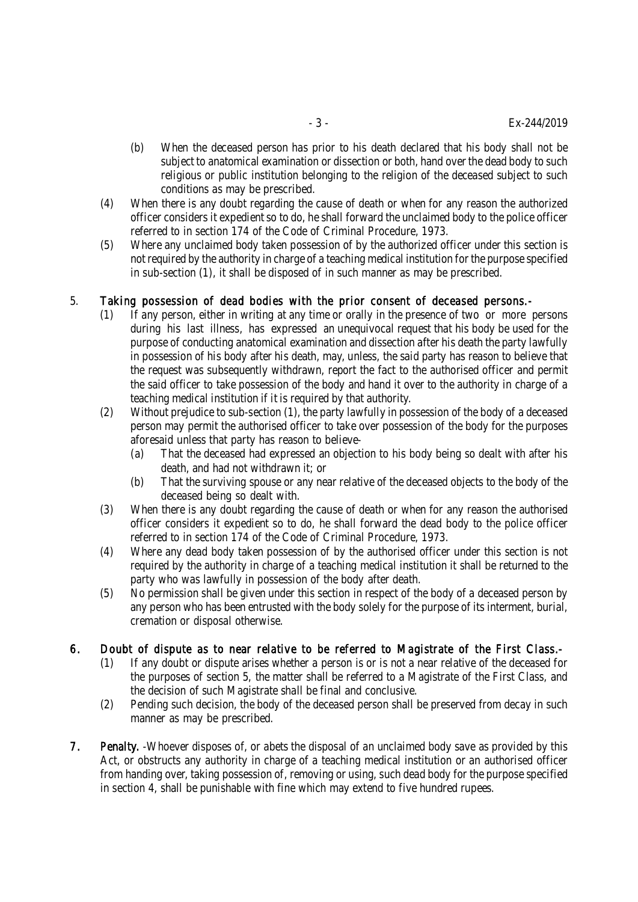- (b) When the deceased person has prior to his death declared that his body shall not be subject to anatomical examination or dissection or both, hand over the dead body to such religious or public institution belonging to the religion of the deceased subject to such conditions as may be prescribed.
- (4) When there is any doubt regarding the cause of death or when for any reason the authorized officer considers it expedient so to do, he shall forward the unclaimed body to the police officer referred to in section 174 of the Code of Criminal Procedure, 1973.
- (5) Where any unclaimed body taken possession of by the authorized officer under this section is not required by the authority in charge of a teaching medical institution for the purpose specified in sub-section (1), it shall be disposed of in such manner as may be prescribed.

#### 5. Taking possession of dead bodies with the prior consent of deceased persons.-

- (1) If any person, either in writing at any time or orally in the presence of two or more persons during his last illness, has expressed an unequivocal request that his body be used for the purpose of conducting anatomical examination and dissection after his death the party lawfully in possession of his body after his death, may, unless, the said party has reason to believe that the request was subsequently withdrawn, report the fact to the authorised officer and permit the said officer to take possession of the body and hand it over to the authority in charge of a teaching medical institution if it is required by that authority.
- (2) Without prejudice to sub-section (1), the party lawfully in possession of the body of a deceased person may permit the authorised officer to take over possession of the body for the purposes aforesaid unless that party has reason to believe-
	- (a) That the deceased had expressed an objection to his body being so dealt with after his death, and had not withdrawn it; or
	- (b) That the surviving spouse or any near relative of the deceased objects to the body of the deceased being so dealt with.
- (3) When there is any doubt regarding the cause of death or when for any reason the authorised officer considers it expedient so to do, he shall forward the dead body to the police officer referred to in section 174 of the Code of Criminal Procedure, 1973.
- (4) Where any dead body taken possession of by the authorised officer under this section is not required by the authority in charge of a teaching medical institution it shall be returned to the party who was lawfully in possession of the body after death.
- (5) No permission shall be given under this section in respect of the body of a deceased person by any person who has been entrusted with the body solely for the purpose of its interment, burial, cremation or disposal otherwise.
- 6. Doubt of dispute as to near relative to be referred to Magistrate of the First Class.-
	- (1) If any doubt or dispute arises whether a person is or is not a near relative of the deceased for the purposes of section 5, the matter shall be referred to a Magistrate of the First Class, and the decision of such Magistrate shall be final and conclusive.
	- (2) Pending such decision, the body of the deceased person shall be preserved from decay in such manner as may be prescribed.
- 7. Penalty. -Whoever disposes of, or abets the disposal of an unclaimed body save as provided by this Act, or obstructs any authority in charge of a teaching medical institution or an authorised officer from handing over, taking possession of, removing or using, such dead body for the purpose specified in section 4, shall be punishable with fine which may extend to five hundred rupees.